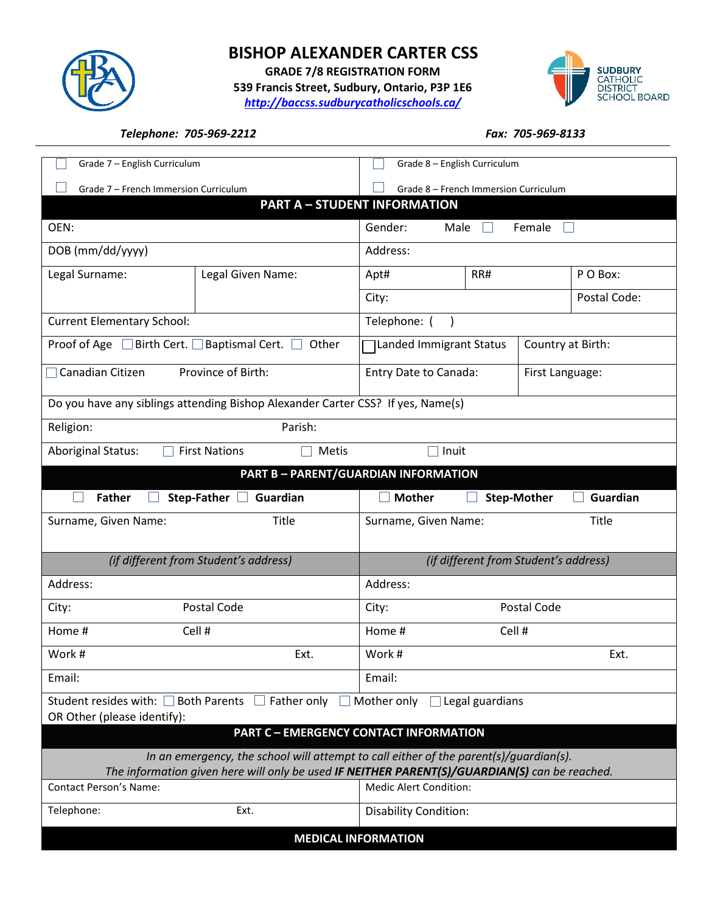

## **BISHOP ALEXANDER CARTER CSS**

**GRADE 7/8 REGISTRATION FORM 539 Francis Street, Sudbury, Ontario, P3P 1E6** *<http://baccss.sudburycatholicschools.ca/>*



## *Telephone: 705-969-2212 Fax: 705-969-8133*

| Grade 7 - English Curriculum                                                                                                                                                           |                         | Grade 8 - English Curriculum                 |                 |                    |              |  |
|----------------------------------------------------------------------------------------------------------------------------------------------------------------------------------------|-------------------------|----------------------------------------------|-----------------|--------------------|--------------|--|
| Grade 7 - French Immersion Curriculum                                                                                                                                                  |                         | Grade 8 - French Immersion Curriculum        |                 |                    |              |  |
| <b>PART A - STUDENT INFORMATION</b>                                                                                                                                                    |                         |                                              |                 |                    |              |  |
| OEN:                                                                                                                                                                                   |                         | Gender:<br>Female<br>Male                    |                 |                    |              |  |
| DOB (mm/dd/yyyy)                                                                                                                                                                       |                         | Address:                                     |                 |                    |              |  |
| Legal Surname:                                                                                                                                                                         | Legal Given Name:       | Apt#                                         | RR#             |                    | P O Box:     |  |
|                                                                                                                                                                                        |                         | City:                                        |                 |                    | Postal Code: |  |
| <b>Current Elementary School:</b>                                                                                                                                                      |                         | Telephone:                                   |                 |                    |              |  |
| Proof of Age $\Box$ Birth Cert. $\Box$<br>Baptismal Cert. $\Box$<br>Other                                                                                                              |                         | Landed Immigrant Status<br>Country at Birth: |                 |                    |              |  |
| Canadian Citizen<br>Province of Birth:                                                                                                                                                 |                         | Entry Date to Canada:                        | First Language: |                    |              |  |
| Do you have any siblings attending Bishop Alexander Carter CSS? If yes, Name(s)                                                                                                        |                         |                                              |                 |                    |              |  |
| Parish:<br>Religion:                                                                                                                                                                   |                         |                                              |                 |                    |              |  |
| <b>Aboriginal Status:</b><br><b>First Nations</b><br>Metis<br>Inuit                                                                                                                    |                         |                                              |                 |                    |              |  |
| <b>PART B - PARENT/GUARDIAN INFORMATION</b>                                                                                                                                            |                         |                                              |                 |                    |              |  |
| <b>Father</b>                                                                                                                                                                          | Step-Father<br>Guardian | <b>Mother</b>                                |                 | <b>Step-Mother</b> | Guardian     |  |
| Surname, Given Name:<br>Title                                                                                                                                                          |                         | Surname, Given Name:                         |                 |                    | Title        |  |
|                                                                                                                                                                                        |                         |                                              |                 |                    |              |  |
| (if different from Student's address)                                                                                                                                                  |                         | (if different from Student's address)        |                 |                    |              |  |
| Address:                                                                                                                                                                               |                         | Address:                                     |                 |                    |              |  |
| City:                                                                                                                                                                                  | Postal Code             | City:                                        | Postal Code     |                    |              |  |
| Home #                                                                                                                                                                                 | Cell #                  | Home #                                       | Cell #          |                    |              |  |
| Work #                                                                                                                                                                                 | Ext.                    | Work #                                       | Ext.            |                    |              |  |
| Email:                                                                                                                                                                                 |                         | Email:                                       |                 |                    |              |  |
| Student resides with: □ Both Parents<br>Father only<br>Mother only<br>Legal guardians                                                                                                  |                         |                                              |                 |                    |              |  |
| OR Other (please identify):<br><b>PART C - EMERGENCY CONTACT INFORMATION</b>                                                                                                           |                         |                                              |                 |                    |              |  |
|                                                                                                                                                                                        |                         |                                              |                 |                    |              |  |
| In an emergency, the school will attempt to call either of the parent(s)/guardian(s).<br>The information given here will only be used IF NEITHER PARENT(S)/GUARDIAN(S) can be reached. |                         |                                              |                 |                    |              |  |
| <b>Contact Person's Name:</b>                                                                                                                                                          |                         | Medic Alert Condition:                       |                 |                    |              |  |
| Telephone:                                                                                                                                                                             | Ext.                    | <b>Disability Condition:</b>                 |                 |                    |              |  |
| <b>MEDICAL INFORMATION</b>                                                                                                                                                             |                         |                                              |                 |                    |              |  |
|                                                                                                                                                                                        |                         |                                              |                 |                    |              |  |